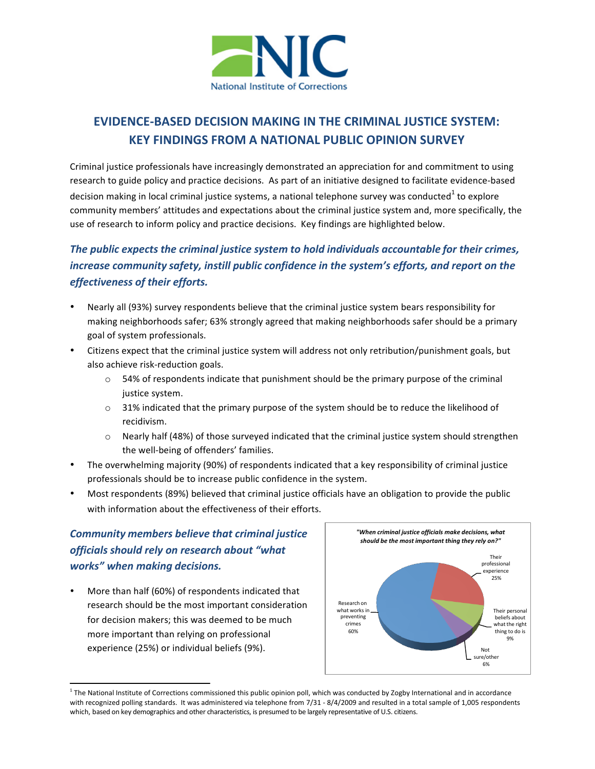

## **EVIDENCE-BASED DECISION MAKING IN THE CRIMINAL JUSTICE SYSTEM: KEY FINDINGS FROM A NATIONAL PUBLIC OPINION SURVEY**

Criminal justice professionals have increasingly demonstrated an appreciation for and commitment to using research to guide policy and practice decisions. As part of an initiative designed to facilitate evidence-based decision making in local criminal justice systems, a national telephone survey was conducted to explore community members' attitudes and expectations about the criminal justice system and, more specifically, the use of research to inform policy and practice decisions. Key findings are highlighted below.

## *The public expects the criminal justice system to hold individuals accountable for their crimes, increase community safety, instill public confidence in the system's efforts, and report on the effectiveness of their efforts.*

- Nearly all (93%) survey respondents believe that the criminal justice system bears responsibility for making neighborhoods safer; 63% strongly agreed that making neighborhoods safer should be a primary goal of system professionals.
- Citizens expect that the criminal justice system will address not only retribution/punishment goals, but also achieve risk-reduction goals.
	- $\circ$  54% of respondents indicate that punishment should be the primary purpose of the criminal justice system.
	- $\circ$  31% indicated that the primary purpose of the system should be to reduce the likelihood of recidivism.
	- $\circ$  Nearly half (48%) of those surveyed indicated that the criminal justice system should strengthen the well-being of offenders' families.
- The overwhelming majority (90%) of respondents indicated that a key responsibility of criminal justice professionals should be to increase public confidence in the system.
- Most respondents (89%) believed that criminal justice officials have an obligation to provide the public with information about the effectiveness of their efforts.

## *Community members believe that criminal justice officials should rely on research about "what works" when making decisions.*

More than half (60%) of respondents indicated that research should be the most important consideration for decision makers; this was deemed to be much more important than relying on professional experience (25%) or individual beliefs (9%).



<sup>&</sup>lt;sup>1</sup> The National Institute of Corrections commissioned this public opinion poll, which was conducted by Zogby International and in accordance with recognized polling standards. It was administered via telephone from 7/31 - 8/4/2009 and resulted in a total sample of 1,005 respondents which, based on key demographics and other characteristics, is presumed to be largely representative of U.S. citizens.